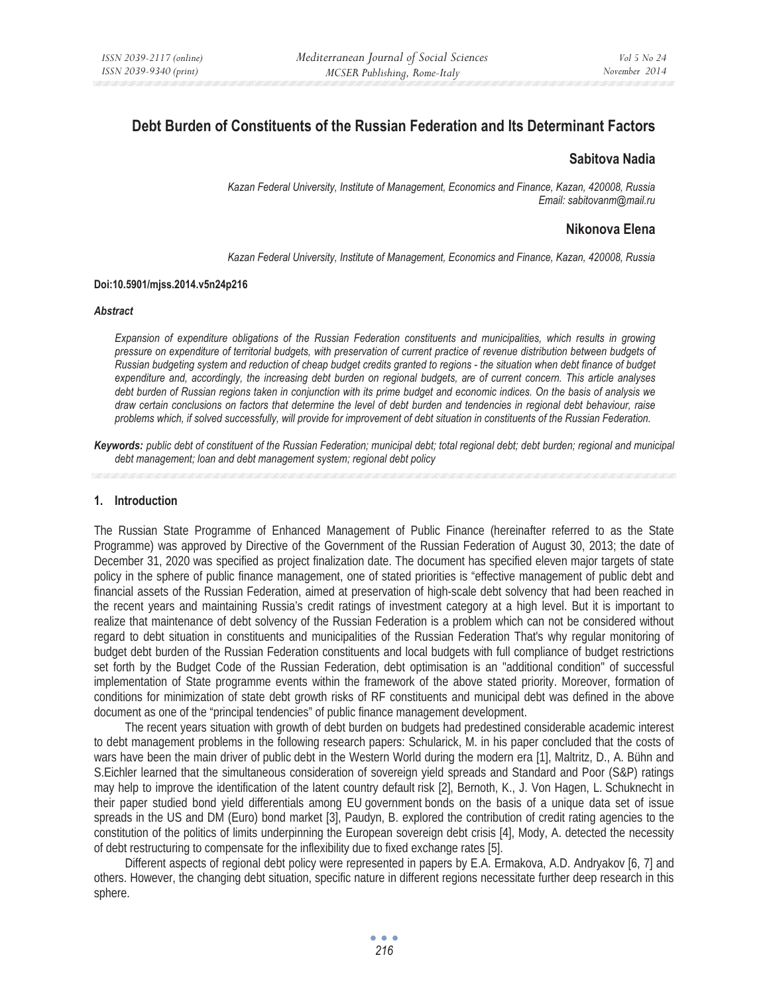# **Debt Burden of Constituents of the Russian Federation and Its Determinant Factors**

### **Sabitova Nadia**

*Kazan Federal University, Institute of Management, Economics and Finance, Kazan, 420008, Russia Email: sabitovanm@mail.ru* 

## **Nikonova Elena**

*Kazan Federal University, Institute of Management, Economics and Finance, Kazan, 420008, Russia* 

#### **Doi:10.5901/mjss.2014.v5n24p216**

#### *Abstract*

*Expansion of expenditure obligations of the Russian Federation constituents and municipalities, which results in growing pressure on expenditure of territorial budgets, with preservation of current practice of revenue distribution between budgets of Russian budgeting system and reduction of cheap budget credits granted to regions - the situation when debt finance of budget expenditure and, accordingly, the increasing debt burden on regional budgets, are of current concern. This article analyses debt burden of Russian regions taken in conjunction with its prime budget and economic indices. On the basis of analysis we draw certain conclusions on factors that determine the level of debt burden and tendencies in regional debt behaviour, raise problems which, if solved successfully, will provide for improvement of debt situation in constituents of the Russian Federation.* 

*Keywords: public debt of constituent of the Russian Federation; municipal debt; total regional debt; debt burden; regional and municipal debt management; loan and debt management system; regional debt policy* 

### **1. Introduction**

The Russian State Programme of Enhanced Management of Public Finance (hereinafter referred to as the State Programme) was approved by Directive of the Government of the Russian Federation of August 30, 2013; the date of December 31, 2020 was specified as project finalization date. The document has specified eleven major targets of state policy in the sphere of public finance management, one of stated priorities is "effective management of public debt and financial assets of the Russian Federation, aimed at preservation of high-scale debt solvency that had been reached in the recent years and maintaining Russia's credit ratings of investment category at a high level. But it is important to realize that maintenance of debt solvency of the Russian Federation is a problem which can not be considered without regard to debt situation in constituents and municipalities of the Russian Federation That's why regular monitoring of budget debt burden of the Russian Federation constituents and local budgets with full compliance of budget restrictions set forth by the Budget Code of the Russian Federation, debt optimisation is an "additional condition" of successful implementation of State programme events within the framework of the above stated priority. Moreover, formation of conditions for minimization of state debt growth risks of RF constituents and municipal debt was defined in the above document as one of the "principal tendencies" of public finance management development.

The recent years situation with growth of debt burden on budgets had predestined considerable academic interest to debt management problems in the following research papers: Schularick, M. in his paper concluded that the costs of wars have been the main driver of public debt in the Western World during the modern era [1], Maltritz, D., A. Bühn and S.Eichler learned that the simultaneous consideration of sovereign yield spreads and Standard and Poor (S&P) ratings may help to improve the identification of the latent country default risk [2], Bernoth, K., J. Von Hagen, L. Schuknecht in their paper studied bond yield differentials among EU government bonds on the basis of a unique data set of issue spreads in the US and DM (Euro) bond market [3], Paudyn, B. explored the contribution of credit rating agencies to the constitution of the politics of limits underpinning the European sovereign debt crisis [4], Mody, A. detected the necessity of debt restructuring to compensate for the inflexibility due to fixed exchange rates [5].

Different aspects of regional debt policy were represented in papers by E.A. Ermakova, A.D. Andryakov [6, 7] and others. However, the changing debt situation, specific nature in different regions necessitate further deep research in this sphere.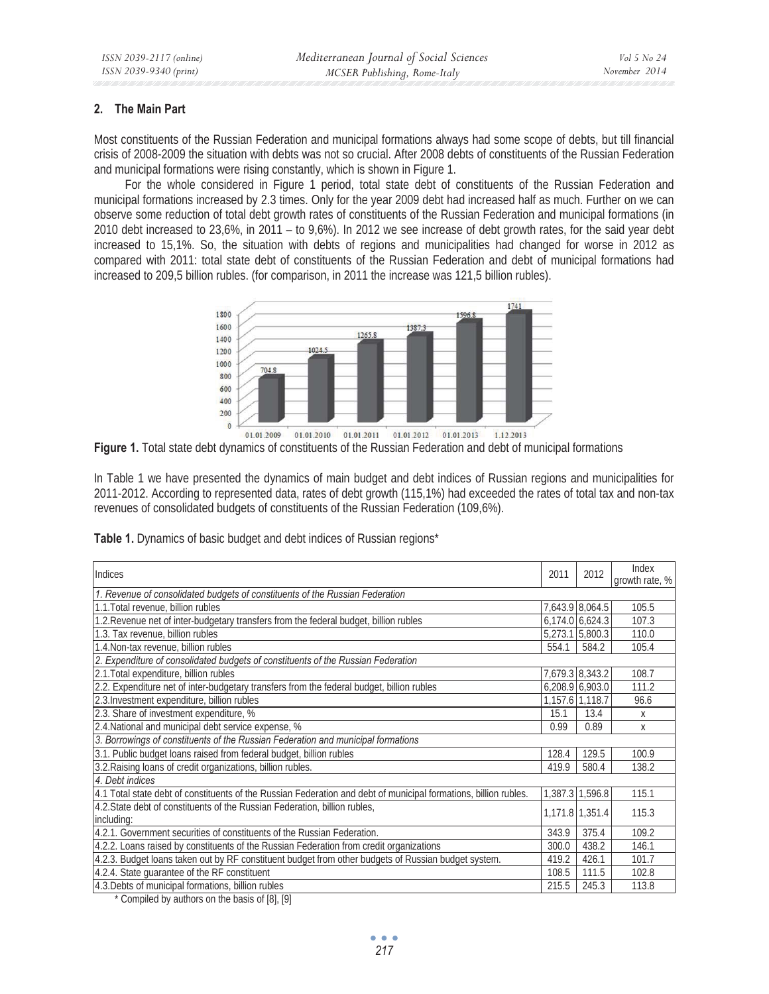## **2. The Main Part**

Most constituents of the Russian Federation and municipal formations always had some scope of debts, but till financial crisis of 2008-2009 the situation with debts was not so crucial. After 2008 debts of constituents of the Russian Federation and municipal formations were rising constantly, which is shown in Figure 1.

For the whole considered in Figure 1 period, total state debt of constituents of the Russian Federation and municipal formations increased by 2.3 times. Only for the year 2009 debt had increased half as much. Further on we can observe some reduction of total debt growth rates of constituents of the Russian Federation and municipal formations (in 2010 debt increased to 23,6%, in 2011 – to 9,6%). In 2012 we see increase of debt growth rates, for the said year debt increased to 15,1%. So, the situation with debts of regions and municipalities had changed for worse in 2012 as compared with 2011: total state debt of constituents of the Russian Federation and debt of municipal formations had increased to 209,5 billion rubles. (for comparison, in 2011 the increase was 121,5 billion rubles).



**Figure 1.** Total state debt dynamics of constituents of the Russian Federation and debt of municipal formations

In Table 1 we have presented the dynamics of main budget and debt indices of Russian regions and municipalities for 2011-2012. According to represented data, rates of debt growth (115,1%) had exceeded the rates of total tax and non-tax revenues of consolidated budgets of constituents of the Russian Federation (109,6%).

**Table 1.** Dynamics of basic budget and debt indices of Russian regions\*

| Indices                                                                                                          | 2011  | 2012              | Index<br>growth rate, % |
|------------------------------------------------------------------------------------------------------------------|-------|-------------------|-------------------------|
| 1. Revenue of consolidated budgets of constituents of the Russian Federation                                     |       |                   |                         |
| 1.1. Total revenue, billion rubles                                                                               |       | 7,643.9 8,064.5   | 105.5                   |
| 1.2. Revenue net of inter-budgetary transfers from the federal budget, billion rubles                            |       | $6,174.0$ 6,624.3 | 107.3                   |
| 1.3. Tax revenue, billion rubles                                                                                 |       | 5,273.1 5,800.3   | 110.0                   |
| 1.4. Non-tax revenue, billion rubles                                                                             | 554.1 | 584.2             | 105.4                   |
| 2. Expenditure of consolidated budgets of constituents of the Russian Federation                                 |       |                   |                         |
| 2.1. Total expenditure, billion rubles                                                                           |       | 7,679.3 8,343.2   | 108.7                   |
| 2.2. Expenditure net of inter-budgetary transfers from the federal budget, billion rubles                        |       | $6,208.9$ 6,903.0 | 111.2                   |
| 2.3. Investment expenditure, billion rubles                                                                      |       | 1,157.6 1,118.7   | 96.6                    |
| 2.3. Share of investment expenditure, %                                                                          | 15.1  | 13.4              | $\mathsf{x}$            |
| 2.4. National and municipal debt service expense, %                                                              | 0.99  | 0.89              | X                       |
| 3. Borrowings of constituents of the Russian Federation and municipal formations                                 |       |                   |                         |
| 3.1. Public budget loans raised from federal budget, billion rubles                                              | 128.4 | 129.5             | 100.9                   |
| 3.2. Raising loans of credit organizations, billion rubles.                                                      | 419.9 | 580.4             | 138.2                   |
| 4. Debt indices                                                                                                  |       |                   |                         |
| 4.1 Total state debt of constituents of the Russian Federation and debt of municipal formations, billion rubles. |       | 1,387.3 1,596.8   | 115.1                   |
| 4.2. State debt of constituents of the Russian Federation, billion rubles,                                       |       | 1,171.8 1,351.4   | 115.3                   |
| including:<br>4.2.1. Government securities of constituents of the Russian Federation.                            |       |                   |                         |
|                                                                                                                  | 343.9 | 375.4             | 109.2                   |
| 4.2.2. Loans raised by constituents of the Russian Federation from credit organizations                          | 300.0 | 438.2             | 146.1                   |
| 4.2.3. Budget loans taken out by RF constituent budget from other budgets of Russian budget system.              | 419.2 | 426.1             | 101.7                   |
| 4.2.4. State guarantee of the RF constituent                                                                     | 108.5 | 111.5             | 102.8                   |
| 4.3. Debts of municipal formations, billion rubles                                                               | 215.5 | 245.3             | 113.8                   |

\* Compiled by authors on the basis of [8], [9]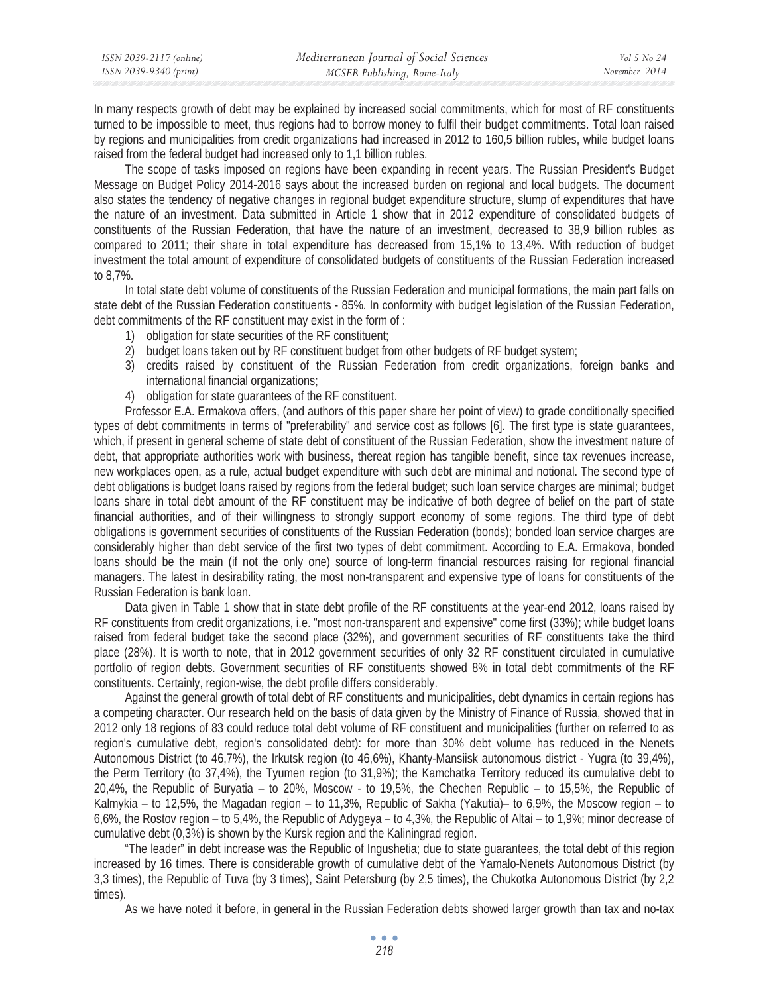| ISSN 2039-2117 (online) | Mediterranean Journal of Social Sciences | Vol 5 No 24   |
|-------------------------|------------------------------------------|---------------|
| ISSN 2039-9340 (print)  | MCSER Publishing, Rome-Italy             | November 2014 |

In many respects growth of debt may be explained by increased social commitments, which for most of RF constituents turned to be impossible to meet, thus regions had to borrow money to fulfil their budget commitments. Total loan raised by regions and municipalities from credit organizations had increased in 2012 to 160,5 billion rubles, while budget loans raised from the federal budget had increased only to 1,1 billion rubles.

The scope of tasks imposed on regions have been expanding in recent years. The Russian President's Budget Message on Budget Policy 2014-2016 says about the increased burden on regional and local budgets. The document also states the tendency of negative changes in regional budget expenditure structure, slump of expenditures that have the nature of an investment. Data submitted in Article 1 show that in 2012 expenditure of consolidated budgets of constituents of the Russian Federation, that have the nature of an investment, decreased to 38,9 billion rubles as compared to 2011; their share in total expenditure has decreased from 15,1% to 13,4%. With reduction of budget investment the total amount of expenditure of consolidated budgets of constituents of the Russian Federation increased to 8,7%.

In total state debt volume of constituents of the Russian Federation and municipal formations, the main part falls on state debt of the Russian Federation constituents - 85%. In conformity with budget legislation of the Russian Federation, debt commitments of the RF constituent may exist in the form of :

- 1) obligation for state securities of the RF constituent;
- 2) budget loans taken out by RF constituent budget from other budgets of RF budget system;
- 3) credits raised by constituent of the Russian Federation from credit organizations, foreign banks and international financial organizations;
- 4) obligation for state guarantees of the RF constituent.

Professor E.A. Ermakova offers, (and authors of this paper share her point of view) to grade conditionally specified types of debt commitments in terms of "preferability" and service cost as follows [6]. The first type is state guarantees, which, if present in general scheme of state debt of constituent of the Russian Federation, show the investment nature of debt, that appropriate authorities work with business, thereat region has tangible benefit, since tax revenues increase, new workplaces open, as a rule, actual budget expenditure with such debt are minimal and notional. The second type of debt obligations is budget loans raised by regions from the federal budget; such loan service charges are minimal; budget loans share in total debt amount of the RF constituent may be indicative of both degree of belief on the part of state financial authorities, and of their willingness to strongly support economy of some regions. The third type of debt obligations is government securities of constituents of the Russian Federation (bonds); bonded loan service charges are considerably higher than debt service of the first two types of debt commitment. According to E.A. Ermakova, bonded loans should be the main (if not the only one) source of long-term financial resources raising for regional financial managers. The latest in desirability rating, the most non-transparent and expensive type of loans for constituents of the Russian Federation is bank loan.

Data given in Table 1 show that in state debt profile of the RF constituents at the year-end 2012, loans raised by RF constituents from credit organizations, i.e. "most non-transparent and expensive" come first (33%); while budget loans raised from federal budget take the second place (32%), and government securities of RF constituents take the third place (28%). It is worth to note, that in 2012 government securities of only 32 RF constituent circulated in cumulative portfolio of region debts. Government securities of RF constituents showed 8% in total debt commitments of the RF constituents. Certainly, region-wise, the debt profile differs considerably.

Against the general growth of total debt of RF constituents and municipalities, debt dynamics in certain regions has a competing character. Our research held on the basis of data given by the Ministry of Finance of Russia, showed that in 2012 only 18 regions of 83 could reduce total debt volume of RF constituent and municipalities (further on referred to as region's cumulative debt, region's consolidated debt): for more than 30% debt volume has reduced in the Nenets Autonomous District (to 46,7%), the Irkutsk region (to 46,6%), Khanty-Mansiisk autonomous district - Yugra (to 39,4%), the Perm Territory (to 37,4%), the Tyumen region (to 31,9%); the Kamchatka Territory reduced its cumulative debt to 20,4%, the Republic of Buryatia – to 20%, Moscow - to 19,5%, the Chechen Republic – to 15,5%, the Republic of Kalmykia – to 12,5%, the Magadan region – to 11,3%, Republic of Sakha (Yakutia)– to 6,9%, the Moscow region – to 6,6%, the Rostov region – to 5,4%, the Republic of Adygeya – to 4,3%, the Republic of Altai – to 1,9%; minor decrease of cumulative debt (0,3%) is shown by the Kursk region and the Kaliningrad region.

"The leader" in debt increase was the Republic of Ingushetia; due to state guarantees, the total debt of this region increased by 16 times. There is considerable growth of cumulative debt of the Yamalo-Nenets Autonomous District (by 3,3 times), the Republic of Tuva (by 3 times), Saint Petersburg (by 2,5 times), the Chukotka Autonomous District (by 2,2 times).

As we have noted it before, in general in the Russian Federation debts showed larger growth than tax and no-tax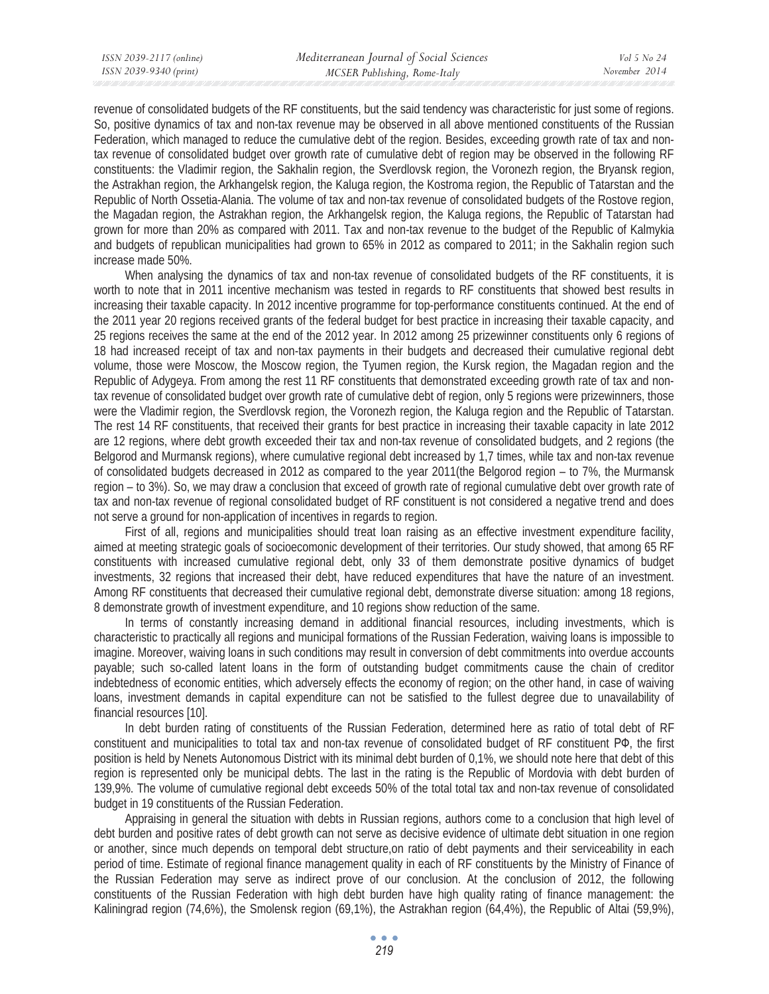revenue of consolidated budgets of the RF constituents, but the said tendency was characteristic for just some of regions. So, positive dynamics of tax and non-tax revenue may be observed in all above mentioned constituents of the Russian Federation, which managed to reduce the cumulative debt of the region. Besides, exceeding growth rate of tax and nontax revenue of consolidated budget over growth rate of cumulative debt of region may be observed in the following RF constituents: the Vladimir region, the Sakhalin region, the Sverdlovsk region, the Voronezh region, the Bryansk region, the Astrakhan region, the Arkhangelsk region, the Kaluga region, the Kostroma region, the Republic of Tatarstan and the Republic of North Ossetia-Alania. The volume of tax and non-tax revenue of consolidated budgets of the Rostove region, the Magadan region, the Astrakhan region, the Arkhangelsk region, the Kaluga regions, the Republic of Tatarstan had grown for more than 20% as compared with 2011. Tax and non-tax revenue to the budget of the Republic of Kalmykia and budgets of republican municipalities had grown to 65% in 2012 as compared to 2011; in the Sakhalin region such increase made 50%.

When analysing the dynamics of tax and non-tax revenue of consolidated budgets of the RF constituents, it is worth to note that in 2011 incentive mechanism was tested in regards to RF constituents that showed best results in increasing their taxable capacity. In 2012 incentive programme for top-performance constituents continued. At the end of the 2011 year 20 regions received grants of the federal budget for best practice in increasing their taxable capacity, and 25 regions receives the same at the end of the 2012 year. In 2012 among 25 prizewinner constituents only 6 regions of 18 had increased receipt of tax and non-tax payments in their budgets and decreased their cumulative regional debt volume, those were Moscow, the Moscow region, the Tyumen region, the Kursk region, the Magadan region and the Republic of Adygeya. From among the rest 11 RF constituents that demonstrated exceeding growth rate of tax and nontax revenue of consolidated budget over growth rate of cumulative debt of region, only 5 regions were prizewinners, those were the Vladimir region, the Sverdlovsk region, the Voronezh region, the Kaluga region and the Republic of Tatarstan. The rest 14 RF constituents, that received their grants for best practice in increasing their taxable capacity in late 2012 are 12 regions, where debt growth exceeded their tax and non-tax revenue of consolidated budgets, and 2 regions (the Belgorod and Murmansk regions), where cumulative regional debt increased by 1,7 times, while tax and non-tax revenue of consolidated budgets decreased in 2012 as compared to the year 2011(the Belgorod region – to 7%, the Murmansk region – to 3%). So, we may draw a conclusion that exceed of growth rate of regional cumulative debt over growth rate of tax and non-tax revenue of regional consolidated budget of RF constituent is not considered a negative trend and does not serve a ground for non-application of incentives in regards to region.

First of all, regions and municipalities should treat loan raising as an effective investment expenditure facility, aimed at meeting strategic goals of socioecomonic development of their territories. Our study showed, that among 65 RF constituents with increased cumulative regional debt, only 33 of them demonstrate positive dynamics of budget investments, 32 regions that increased their debt, have reduced expenditures that have the nature of an investment. Among RF constituents that decreased their cumulative regional debt, demonstrate diverse situation: among 18 regions, 8 demonstrate growth of investment expenditure, and 10 regions show reduction of the same.

In terms of constantly increasing demand in additional financial resources, including investments, which is characteristic to practically all regions and municipal formations of the Russian Federation, waiving loans is impossible to imagine. Moreover, waiving loans in such conditions may result in conversion of debt commitments into overdue accounts payable; such so-called latent loans in the form of outstanding budget commitments cause the chain of creditor indebtedness of economic entities, which adversely effects the economy of region; on the other hand, in case of waiving loans, investment demands in capital expenditure can not be satisfied to the fullest degree due to unavailability of financial resources [10].

In debt burden rating of constituents of the Russian Federation, determined here as ratio of total debt of RF constituent and municipalities to total tax and non-tax revenue of consolidated budget of RF constituent P $\Phi$ , the first position is held by Nenets Autonomous District with its minimal debt burden of 0,1%, we should note here that debt of this region is represented only be municipal debts. The last in the rating is the Republic of Mordovia with debt burden of 139,9%. The volume of cumulative regional debt exceeds 50% of the total total tax and non-tax revenue of consolidated budget in 19 constituents of the Russian Federation.

Appraising in general the situation with debts in Russian regions, authors come to a conclusion that high level of debt burden and positive rates of debt growth can not serve as decisive evidence of ultimate debt situation in one region or another, since much depends on temporal debt structure,on ratio of debt payments and their serviceability in each period of time. Estimate of regional finance management quality in each of RF constituents by the Ministry of Finance of the Russian Federation may serve as indirect prove of our conclusion. At the conclusion of 2012, the following constituents of the Russian Federation with high debt burden have high quality rating of finance management: the Kaliningrad region (74,6%), the Smolensk region (69,1%), the Astrakhan region (64,4%), the Republic of Altai (59,9%),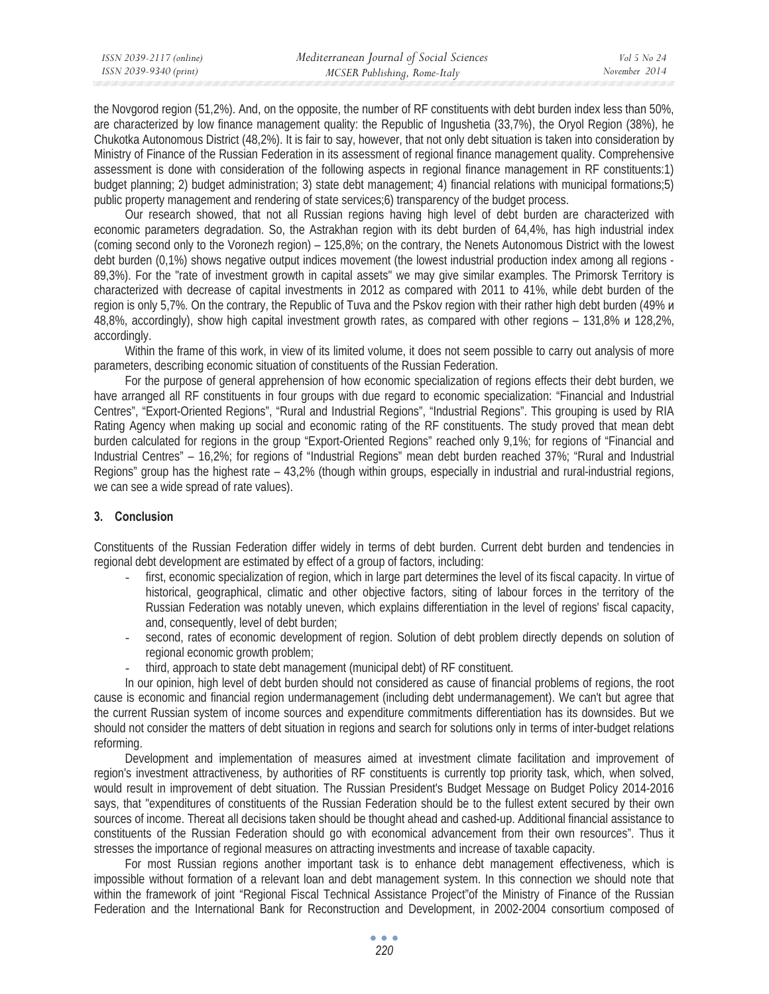| ISSN 2039-2117 (online) | Mediterranean Journal of Social Sciences | Vol 5 No 24   |
|-------------------------|------------------------------------------|---------------|
| ISSN 2039-9340 (print)  | MCSER Publishing, Rome-Italy             | November 2014 |
|                         |                                          |               |

the Novgorod region (51,2%). And, on the opposite, the number of RF constituents with debt burden index less than 50%, are characterized by low finance management quality: the Republic of Ingushetia (33,7%), the Oryol Region (38%), he Chukotka Autonomous District (48,2%). It is fair to say, however, that not only debt situation is taken into consideration by Ministry of Finance of the Russian Federation in its assessment of regional finance management quality. Comprehensive assessment is done with consideration of the following aspects in regional finance management in RF constituents:1) budget planning; 2) budget administration; 3) state debt management; 4) financial relations with municipal formations;5) public property management and rendering of state services;6) transparency of the budget process.

Our research showed, that not all Russian regions having high level of debt burden are characterized with economic parameters degradation. So, the Astrakhan region with its debt burden of 64,4%, has high industrial index (coming second only to the Voronezh region) – 125,8%; on the contrary, the Nenets Autonomous District with the lowest debt burden (0,1%) shows negative output indices movement (the lowest industrial production index among all regions - 89,3%). For the "rate of investment growth in capital assets" we may give similar examples. The Primorsk Territory is characterized with decrease of capital investments in 2012 as compared with 2011 to 41%, while debt burden of the region is only 5,7%. On the contrary, the Republic of Tuva and the Pskov region with their rather high debt burden (49%  $\mu$ 48,8%, accordingly), show high capital investment growth rates, as compared with other regions – 131,8% и 128,2%, accordingly.

Within the frame of this work, in view of its limited volume, it does not seem possible to carry out analysis of more parameters, describing economic situation of constituents of the Russian Federation.

For the purpose of general apprehension of how economic specialization of regions effects their debt burden, we have arranged all RF constituents in four groups with due regard to economic specialization: "Financial and Industrial Centres", "Export-Oriented Regions", "Rural and Industrial Regions", "Industrial Regions". This grouping is used by RIA Rating Agency when making up social and economic rating of the RF constituents. The study proved that mean debt burden calculated for regions in the group "Export-Oriented Regions" reached only 9,1%; for regions of "Financial and Industrial Centres" – 16,2%; for regions of "Industrial Regions" mean debt burden reached 37%; "Rural and Industrial Regions" group has the highest rate – 43,2% (though within groups, especially in industrial and rural-industrial regions, we can see a wide spread of rate values).

### **3. Conclusion**

Constituents of the Russian Federation differ widely in terms of debt burden. Current debt burden and tendencies in regional debt development are estimated by effect of a group of factors, including:

- first, economic specialization of region, which in large part determines the level of its fiscal capacity. In virtue of historical, geographical, climatic and other objective factors, siting of labour forces in the territory of the Russian Federation was notably uneven, which explains differentiation in the level of regions' fiscal capacity, and, consequently, level of debt burden;
- second, rates of economic development of region. Solution of debt problem directly depends on solution of regional economic growth problem;
- third, approach to state debt management (municipal debt) of RF constituent.

In our opinion, high level of debt burden should not considered as cause of financial problems of regions, the root cause is economic and financial region undermanagement (including debt undermanagement). We can't but agree that the current Russian system of income sources and expenditure commitments differentiation has its downsides. But we should not consider the matters of debt situation in regions and search for solutions only in terms of inter-budget relations reforming.

Development and implementation of measures aimed at investment climate facilitation and improvement of region's investment attractiveness, by authorities of RF constituents is currently top priority task, which, when solved, would result in improvement of debt situation. The Russian President's Budget Message on Budget Policy 2014-2016 says, that "expenditures of constituents of the Russian Federation should be to the fullest extent secured by their own sources of income. Thereat all decisions taken should be thought ahead and cashed-up. Additional financial assistance to constituents of the Russian Federation should go with economical advancement from their own resources". Thus it stresses the importance of regional measures on attracting investments and increase of taxable capacity.

For most Russian regions another important task is to enhance debt management effectiveness, which is impossible without formation of a relevant loan and debt management system. In this connection we should note that within the framework of joint "Regional Fiscal Technical Assistance Project"of the Ministry of Finance of the Russian Federation and the International Bank for Reconstruction and Development, in 2002-2004 consortium composed of